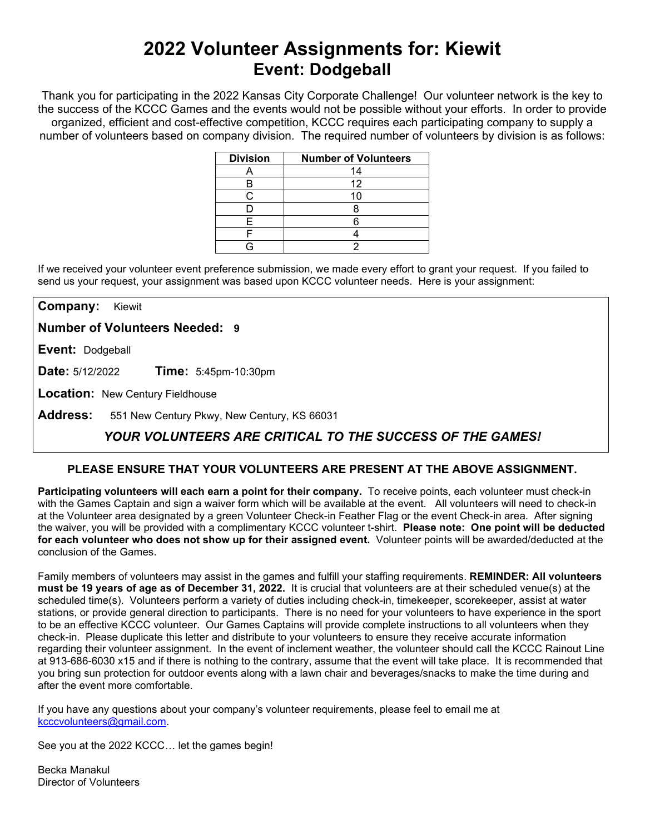# **2022 Volunteer Assignments for: Kiewit Event: Dodgeball**

Thank you for participating in the 2022 Kansas City Corporate Challenge! Our volunteer network is the key to the success of the KCCC Games and the events would not be possible without your efforts.In order to provide organized, efficient and cost-effective competition, KCCC requires each participating company to supply a number of volunteers based on company division. The required number of volunteers by division is as follows:

| <b>Division</b> | <b>Number of Volunteers</b> |
|-----------------|-----------------------------|
|                 | 14                          |
|                 | 12                          |
|                 |                             |
|                 |                             |
|                 |                             |
|                 |                             |
|                 |                             |

If we received your volunteer event preference submission, we made every effort to grant your request. If you failed to send us your request, your assignment was based upon KCCC volunteer needs. Here is your assignment:

**Company:** Kiewit

**Number of Volunteers Needed: 9**

**Event:** Dodgeball

**Date:** 5/12/2022 **Time:** 5:45pm-10:30pm

**Location:** New Century Fieldhouse

**Address:** 551 New Century Pkwy, New Century, KS 66031

## *YOUR VOLUNTEERS ARE CRITICAL TO THE SUCCESS OF THE GAMES!*

### **PLEASE ENSURE THAT YOUR VOLUNTEERS ARE PRESENT AT THE ABOVE ASSIGNMENT.**

**Participating volunteers will each earn a point for their company.** To receive points, each volunteer must check-in with the Games Captain and sign a waiver form which will be available at the event. All volunteers will need to check-in at the Volunteer area designated by a green Volunteer Check-in Feather Flag or the event Check-in area. After signing the waiver, you will be provided with a complimentary KCCC volunteer t-shirt. **Please note: One point will be deducted for each volunteer who does not show up for their assigned event.** Volunteer points will be awarded/deducted at the conclusion of the Games.

Family members of volunteers may assist in the games and fulfill your staffing requirements. **REMINDER: All volunteers must be 19 years of age as of December 31, 2022.** It is crucial that volunteers are at their scheduled venue(s) at the scheduled time(s). Volunteers perform a variety of duties including check-in, timekeeper, scorekeeper, assist at water stations, or provide general direction to participants. There is no need for your volunteers to have experience in the sport to be an effective KCCC volunteer. Our Games Captains will provide complete instructions to all volunteers when they check-in. Please duplicate this letter and distribute to your volunteers to ensure they receive accurate information regarding their volunteer assignment. In the event of inclement weather, the volunteer should call the KCCC Rainout Line at 913-686-6030 x15 and if there is nothing to the contrary, assume that the event will take place. It is recommended that you bring sun protection for outdoor events along with a lawn chair and beverages/snacks to make the time during and after the event more comfortable.

If you have any questions about your company's volunteer requirements, please feel to email me at [kcccvolunteers@gmail.com.](mailto:kcccvolunteers@gmail.com)

See you at the 2022 KCCC… let the games begin!

Becka Manakul Director of Volunteers